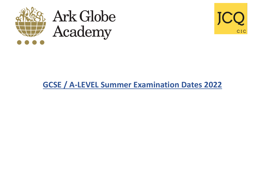





## **GCSE / A-LEVEL Summer Examination Dates 2022**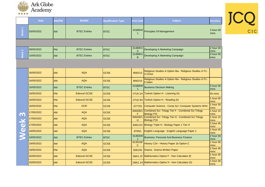

|                   | <b>Date</b> | AM/PM     | <b>BOARD</b>        | <b>Qualification Type</b> | <b>Unit Code</b>         | <b>Subject</b>                                                            | <b>Duration</b>   |
|-------------------|-------------|-----------|---------------------|---------------------------|--------------------------|---------------------------------------------------------------------------|-------------------|
| Week 1            | 03/05/2022  | <b>AM</b> | <b>BTEC Entries</b> | <b>BTEC</b>               | 31588H0                  | Principles Of Management                                                  | 3 hour 00<br>mins |
|                   |             |           |                     |                           |                          |                                                                           |                   |
|                   | 09/05/2022  | <b>PM</b> | <b>BTEC Entries</b> | <b>BTEC</b>               | 31489H1<br>A             | Developing A Marketing Campaign                                           | 2 hour 00<br>mins |
| Week <sub>2</sub> | 10/05/2022  | <b>AM</b> | <b>BTEC Entries</b> | <b>BTEC</b>               | 31489H1<br>B.            | Developing A Marketing Campaign                                           | 3 hour 00<br>mins |
|                   |             |           |                     |                           |                          |                                                                           |                   |
|                   | 16/05/2022  | <b>AM</b> | <b>AQA</b>          | <b>GCSE</b>               | 8062/13                  | Religious Studies A Option Ma - Religious Studies A P1-<br>3 Christ       |                   |
|                   | 16/05/2022  | <b>AM</b> | <b>AQA</b>          | <b>GCSE</b>               | 8062/15                  | Religious Studies A Option Ma - Religious Studies A P1-<br>5 Islam        |                   |
|                   | 16/05/2022  | <b>AM</b> | <b>BTEC Entries</b> | <b>BTEC</b>               | 31589H0                  | <b>Business Decision Making</b>                                           | 3 hour 00<br>mins |
|                   | 16/05/2022  | <b>PM</b> | <b>Edexcel GCSE</b> | <b>GCSE</b>               |                          | 1TU0 1H Turkish Option H - Listening (h)                                  | 45 mins           |
|                   | 16/05/2022  | <b>PM</b> | <b>Edexcel GCSE</b> | <b>GCSE</b>               |                          | 1TU0 3H Turkish Option H - Reading (h)                                    | 1 hour 05<br>mins |
|                   | 16/05/2022  | PM        | <b>OCR</b>          | <b>GCSE</b>               | J277/01                  | Computer Science - Comp Sci: Computer Systems Wrtn                        | 1 hour 30<br>mins |
| m                 | 17/05/2022  | <b>AM</b> | <b>AQA</b>          | <b>GCSE</b>               | 8464/B/1<br>F.           | Combined Sci: Trilogy Tier F - Combined Sci Trilogy<br><b>Biology P1f</b> | 1 hour 15<br>mins |
|                   | 17/05/2022  | <b>AM</b> | <b>AQA</b>          | <b>GCSE</b>               | 8464/B/1<br>н            | Combined Sci: Trilogy Tier H - Combined Sci Trilogy<br><b>Biology P1h</b> | 1 hour 15<br>mins |
| eek               | 17/05/2022  | <b>AM</b> | <b>AQA</b>          | <b>GCSE</b>               | 8461/1H                  | Biology Triple H - Biology Paper 1 Tier H                                 | 1 hour 45<br>mins |
|                   | 18/05/2022  | <b>AM</b> | <b>AQA</b>          | <b>GCSE</b>               | 8700/1                   | English Language - English Language Paper 1                               | 1 hour 45<br>mins |
|                   | 19/05/2022  | <b>AM</b> | <b>BTEC Entries</b> | <b>BTEC</b>               | 31463H0                  | Business: Personal And Business Finance                                   | 2 hour 00<br>mins |
|                   | 19/05/2022  | <b>AM</b> | <b>AQA</b>          | <b>GCSE</b>               | 8145/1B/<br>$\mathsf{C}$ | History C24 - History Paper 1b Option C                                   | 1 hour 00<br>mins |
|                   | 19/05/2022  | <b>PM</b> | <b>AQA</b>          | <b>GCSE</b>               | 8261/W                   | Drama - Drama Written Paper                                               | 1 hour 45<br>mins |
|                   | 20/05/2022  | <b>AM</b> | <b>Edexcel GCSE</b> | <b>GCSE</b>               |                          | 1MA1 1F Mathematics Option F - Non Calculator (f)                         | 1 hour 30<br>mins |
|                   | 20/05/2022  | <b>AM</b> | <b>Edexcel GCSE</b> | <b>GCSE</b>               |                          | 1MA1 1H Mathematics Option H - Non Calculator (h)                         | 1 hour 30<br>mins |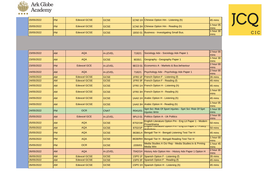

| 20/05/2022 | <b>IPM</b> | Edexcel GCSE | <b>IGCSE</b> | 1CN0 1H Chinese Option Hm - Listening (h)   | 45 mins                 |
|------------|------------|--------------|--------------|---------------------------------------------|-------------------------|
| 20/05/2022 | <b>PM</b>  | Edexcel GCSE | <b>IGCSE</b> | 1CN0 3H Chinese Option Hm - Reading (h)     | hour 05<br><i>Imins</i> |
| 20/05/2022 | <b>PM</b>  | Edexcel GCSE | <b>IGCSE</b> | 1BS0 01 Business - Investigating Small Bus. | hour 30<br><i>Imins</i> |

| 23/05/2022 | <b>AM</b> | <b>AQA</b>          | A-LEVEL     | 7192/1                                   | Sociology Adv - Sociology Adv Paper 1                                      | 2 hour 00<br>mins |
|------------|-----------|---------------------|-------------|------------------------------------------|----------------------------------------------------------------------------|-------------------|
| 23/05/2022 | <b>AM</b> | <b>AQA</b>          | <b>GCSE</b> | 8035/1                                   | Geography - Geography Paper 1                                              | 1 hour 30<br>mins |
| 23/05/2022 | <b>PM</b> | <b>Edexcel GCE</b>  | A-LEVEL     | 9EC0 01                                  | Economics A - Markets & Bus.behaviour                                      | 2 hour 00<br>mins |
| 24/05/2022 | <b>AM</b> | <b>AQA</b>          | A-LEVEL     | 7182/1                                   | Psychology Adv - Psychology Adv Paper 1                                    | 2 hour 00<br>mins |
| 24/05/2022 | <b>AM</b> | <b>Edexcel GCSE</b> | <b>GCSE</b> | <b>1FR01F</b>                            | French Option F - Listening (f)                                            | 35 mins           |
| 24/05/2022 | <b>AM</b> | <b>Edexcel GCSE</b> | <b>GCSE</b> |                                          | 1FR0 3F French Option F - Reading (f)                                      | 45 mins           |
| 24/05/2022 | <b>AM</b> | <b>Edexcel GCSE</b> | <b>GCSE</b> |                                          | 1FR0 1H French Option H - Listening (h)                                    | 45 mins           |
| 24/05/2022 | <b>AM</b> | <b>Edexcel GCSE</b> | <b>GCSE</b> |                                          | 1FR0 3H French Option H - Reading (h)                                      | 1 hour 00<br>mins |
| 24/05/2022 | <b>AM</b> | <b>Edexcel GCSE</b> | <b>GCSE</b> |                                          | 1AA0 1H Arabic Option H - Listening (h)                                    | 45 mins           |
| 24/05/2022 | <b>AM</b> | <b>Edexcel GCSE</b> | <b>GCSE</b> |                                          | 1AA0 3H Arabic Option H - Reading (h)                                      | 1 hour 05<br>mins |
| 24/05/2022 | <b>PM</b> | <b>OCR</b>          | <b>CNAT</b> | R041/01                                  | Sprt Sci: Risk Of Sport Injuries - Sprt Sci: Risk Of Sprt<br>Iniuries Wrtn | 1 hour 00<br>mins |
| 25/05/2022 | <b>AM</b> | <b>Edexcel GCE</b>  | A-LEVEL     | 9PL0 01                                  | <b>Politics Option A - Uk Politics</b>                                     | 2 hour 00<br>mins |
| 25/05/2022 | <b>AM</b> | <b>AQA</b>          | <b>GCSE</b> | 8702/1M                                  | English Literature Option Pm - Eng Lit Paper 1 - Modern<br>Prose/drama     | 50 mins           |
| 25/05/2022 | <b>AM</b> | <b>AQA</b>          | <b>GCSE</b> | 8702/1P                                  | <u> English Literature Option Fin - Eng Lit Faper T - Foetry</u>           | 50 mins           |
| 25/05/2022 | <b>PM</b> | <b>AQA</b>          | <b>GCSE</b> | 8638/LH                                  | Bengali Tier H - Bengali Listening Test Tier H                             | 45 mins           |
| 25/05/2022 | <b>PM</b> | <b>AQA</b>          | <b>GCSE</b> |                                          | 8638/RH Bengali Tier H - Bengali Reading Test Tier H                       | 1 hour 00<br>mins |
| 25/05/2022 | <b>PM</b> | <b>OCR</b>          | <b>GCSE</b> | J200/01                                  | Media Studies A Ocr Rep - Media Studies: tv & Prmtng<br><b>Media Wtn</b>   |                   |
| 26/05/2022 | <b>AM</b> | <b>AQA</b>          | A-LEVEL     |                                          | 7042/1H History Adv Option Hm - History Adv Paper 1 Option H               |                   |
| 26/05/2022 | <b>AM</b> | <b>Edexcel GCSE</b> | <b>GCSE</b> | <b>1SP0 1F</b>                           | Spanish Option F - Listening (f)                                           |                   |
| 26/05/2022 | <b>AM</b> | <b>Edexcel GCSE</b> | <b>GCSE</b> | <b>1SP0 3F</b>                           | Spanish Option F - Reading (f)                                             |                   |
| 26/05/2022 | <b>AM</b> | <b>Edexcel GCSE</b> | <b>GCSE</b> | 1SP0 1H Spanish Option H - Listening (h) |                                                                            | 45 mins           |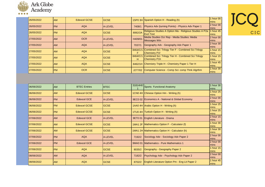

| 26/05/2022 | <b>AM</b> | Edexcel GCSE | <b>IGCSE</b>   |                                                                                               | 1SP0 3H Spanish Option H - Reading (h)                                      | 1 hour 00<br>mins         |
|------------|-----------|--------------|----------------|-----------------------------------------------------------------------------------------------|-----------------------------------------------------------------------------|---------------------------|
| 26/05/2022 | <b>PM</b> | <b>AQA</b>   | <b>A-LEVEL</b> | 7408/1                                                                                        | Physics Adv (turning Points) - Physics Adv Paper 1                          | 2 hour 00<br>mins         |
| 26/05/2022 | <b>PM</b> | <b>AQA</b>   | <b>GCSE</b>    | Religious Studies A Option Ma - Religious Studies A P2a<br>8062/2A<br><b>Excl Text</b>        |                                                                             | 1 hour 45<br><b>mins</b>  |
| 27/05/2022 | <b>AM</b> | <b>OCR</b>   | <b>A-LEVEL</b> | H409/01                                                                                       | Media Studies Ocr Rep - Media Studies: Media<br><b>Messages Wtn</b>         | 2 hour 00<br><b>mins</b>  |
| 27/05/2022 | <b>AM</b> | <b>AQA</b>   | <b>A-LEVEL</b> | 7037/1                                                                                        | Geography Adv - Geography Adv Paper 1                                       | 2 hour 30<br><b>Imins</b> |
| 27/05/2022 | <b>AM</b> | <b>AQA</b>   | <b>GCSE</b>    | 8464/C/1<br>F.                                                                                | Combined Sci: Trilogy Tier F - Combined Sci Trilogy<br><b>Chemistry P1f</b> | 1 hour 15<br>mins         |
| 27/05/2022 | <b>AM</b> | <b>AQA</b>   | <b>GCSE</b>    | Combined Sci: Trilogy Tier H - Combined Sci Trilogy<br>8464/C/1<br><b>Chemistry P1h</b><br>H. |                                                                             | 1 hour 15<br><b>mins</b>  |
| 27/05/2022 | <b>AM</b> | <b>AQA</b>   | <b>GCSE</b>    |                                                                                               | 8462/1H Chemistry Triple H - Chemistry Paper 1 Tier H                       | 1 hour 45<br><b>mins</b>  |
| 27/05/2022 | <b>PM</b> | <b>OCR</b>   | <b>GCSE</b>    |                                                                                               | J277/02 Computer Science - Comp Sci: comp Thnk Algrthm                      | 1 hour 30<br><b>Imins</b> |

| 06/06/2022 | <b>JAM</b> | <b>BTEC Entries</b> | <b>BTEC</b> |         | 31814H0 Sports Functional Anatomy               | 1 hour 30<br>Imins        |
|------------|------------|---------------------|-------------|---------|-------------------------------------------------|---------------------------|
| 06/06/2022 | <b>AM</b>  | <b>Edexcel GCSE</b> | <b>GCSE</b> |         | 1CN0 4H Chinese Option Hm - Writing (h)         | 1 hour 25<br><b>Imins</b> |
| 06/06/2022 | <b>PM</b>  | <b>Edexcel GCE</b>  | A-LEVEL     |         | 9EC0 02 Economics A - National & Global Economy | 2 hour 00<br><b>Imins</b> |
| 06/06/2022 | <b>PM</b>  | <b>Edexcel GCSE</b> | <b>GCSE</b> |         | 1AA0 4H Arabic Option H - Writing (h)           | 1 hour 25<br>mins         |
| 06/06/2022 | <b>PM</b>  | <b>Edexcel GCSE</b> | <b>GCSE</b> |         | 1TU0 4H Turkish Option H - Writing (h)          | 1 hour 25<br>mins         |
| 07/06/2022 | <b>AM</b>  | <b>Edexcel GCE</b>  | A-LEVEL     | 9ET0 01 | English Literature - Drama                      | 2 hour 15<br><b>Imins</b> |
| 07/06/2022 | <b>AM</b>  | <b>Edexcel GCSE</b> | <b>GCSE</b> |         | 1MA1 2F Mathematics Option F - Calculator (f)   | 1 hour 30<br><b>Imins</b> |
| 07/06/2022 | <b>AM</b>  | <b>Edexcel GCSE</b> | <b>GCSE</b> |         | 1MA1 2H Mathematics Option H - Calculator (h)   | 1 hour 30<br><b>Imins</b> |
| 07/06/2022 | <b>IPM</b> | <b>AQA</b>          | A-LEVEL     | 7192/2  | Sociology Adv - Sociology Adv Paper 2           | 2 hour 00<br><b>Imins</b> |
| 07/06/2022 | <b>IPM</b> | <b>Edexcel GCE</b>  | A-LEVEL     | 9MA0 01 | <b>IMathematics - Pure Mathematics 1</b>        | 2 hour 00<br><b>Imins</b> |
| 07/06/2022 | <b>PM</b>  | <b>AQA</b>          | <b>GCSE</b> | 8035/2  | Geography - Geography Paper 2                   | 1 hour 15<br>mins         |
| 08/06/2022 | <b>AM</b>  | <b>AQA</b>          | A-LEVEL     | 7182/2  | Psychology Adv - Psychology Adv Paper 2         | 2 hour 00<br><b>Imins</b> |
| 08/06/2022 | <b>AM</b>  | <b>AQA</b>          | <b>GCSE</b> | 8702/2  | English Literature Option Pm - Eng Lit Paper 2  | 1 hour 45<br><b>Imins</b> |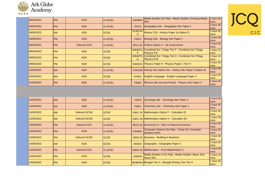

| 08/06/2022  | <b>PM</b> | <b>OCR</b>         | A-LEVEL        | H409/02        | Media Studies Ocr Rep - Media Studies: Evolving Media<br>Wtn              | 2 hour 00<br><b>mins</b>  |
|-------------|-----------|--------------------|----------------|----------------|---------------------------------------------------------------------------|---------------------------|
| 08/06/2022  | <b>PM</b> | <b>AQA</b>         | <b>A-LEVEL</b> | 7037/2         | Geography Adv - Geography Adv Paper 2                                     | 2 hour 30<br>mins         |
| 09/06/2022  | <b>AM</b> | <b>AQA</b>         | <b>GCSE</b>    | 8145/1A/<br>D  | History C24 - History Paper 1a Option D                                   | 1 hour 00<br>mins         |
| 09/06/2022  | <b>PM</b> | <b>AQA</b>         | <b>A-LEVEL</b> | 7402/1         | Biology Adv - Biology Adv Paper 1                                         | 2 hour 00<br>mins         |
| 09/06/2022  | <b>PM</b> | <b>Edexcel GCE</b> | <b>A-LEVEL</b> | 9PL0 02        | Politics Option A - Uk Government                                         | 2 hour 00<br>mins         |
| 109/06/2022 | <b>PM</b> | <b>AQA</b>         | <b>IGCSE</b>   | 8464/P/1<br>F. | Combined Sci: Trilogy Tier F - Combined Sci Trilogy<br><b>Physics P1f</b> | 1 hour 15<br>mins         |
| 09/06/2022  | <b>PM</b> | <b>AQA</b>         | <b>GCSE</b>    | 8464/P/1<br>H. | Combined Sci: Trilogy Tier H - Combined Sci Trilogy<br><b>Physics P1h</b> | 1 hour 15<br><b>mins</b>  |
| 09/06/2022  | <b>PM</b> | <b>AQA</b>         | <b>GCSE</b>    |                | 8463/1H Physics Triple H - Physics Paper 1 Tier H                         | 1 hour 45<br>mins         |
| 10/06/2022  | <b>AM</b> | <b>AQA</b>         | <b>A-LEVEL</b> |                | 7042/2M History Adv Option Hm - History Adv Paper 2 Option M              | 2 hour 30<br><b>Imins</b> |
| 10/06/2022  | <b>AM</b> | <b>AQA</b>         | <b>GCSE</b>    | 8700/2         | English Language - English Language Paper 2                               | 1 hour 45<br>mins         |
| 10/06/2022  | <b>PM</b> | <b>AQA</b>         | <b>A-LEVEL</b> | 7408/2         | Physics Adv (turning Points) - Physics Adv Paper 2                        | 2 hour 00<br>mins         |

| 13/06/2022 | <b>AM</b>  | <b>AQA</b>          | <b>A-LEVEL</b> | 7192/3  | Sociology Adv - Sociology Adv Paper 3                                | 2 hour 00<br>mins         |
|------------|------------|---------------------|----------------|---------|----------------------------------------------------------------------|---------------------------|
| 13/06/2022 | <b>AM</b>  | <b>AQA</b>          | <b>A-LEVEL</b> | 7405/1  | Chemistry Adv - Chemistry Adv Paper 1                                | 2 hour 00<br>mins         |
| 13/06/2022 | <b>AM</b>  | <b>Edexcel GCSE</b> | <b>IGCSE</b>   |         | 1MA1 3F Mathematics Option F - Calculator (f)                        | 1 hour 30<br><b>Imins</b> |
| 13/06/2022 | <b>AM</b>  | <b>Edexcel GCSE</b> | <b>GCSE</b>    |         | 1MA1 3H Mathematics Option H - Calculator (h)                        | 1 hour 30<br><b>Imins</b> |
| 13/06/2022 | <b>IPM</b> | <b>Edexcel GCE</b>  | <b>A-LEVEL</b> |         | 9EC0 03 Economics A - Micro & Macro Economics                        | 2 hour 00<br><b>mins</b>  |
| 13/06/2022 | <b>IPM</b> | <b>OCR</b>          | <b>A-LEVEL</b> | H446/01 | Computer Science Ocr Rep - Comp Sci: Computer<br><b>Systems Wrtn</b> | 2 hour 30<br>mins         |
| 13/06/2022 | <b>PM</b>  | <b>Edexcel GCSE</b> | <b>IGCSE</b>   |         | 1BS0 02 Business - Building A Business                               | 1 hour 30<br>mins         |
| 14/06/2022 | <b>AM</b>  | <b>AQA</b>          | <b>GCSE</b>    | 8035/3  | Geography - Geography Paper 3                                        | 1 hour 00<br>mins         |
| 14/06/2022 | <b>IPM</b> | Edexcel GCE         | <b>A-LEVEL</b> |         | 9MA0 02 Mathematics - Pure Mathematics 2                             | 2 hour 00<br><b>Imins</b> |
| 14/06/2022 | <b>IPM</b> | <b>OCR</b>          | <b>IGCSE</b>   | J200/02 | Media Studies A Ocr Rep - Media Studies: Music And<br>News Wtn       |                           |
| 14/06/2022 | <b>PM</b>  | <b>AQA</b>          | <b>GCSE</b>    |         | 8638/WH Bengali Tier H - Bengali Writing Test Tier H                 |                           |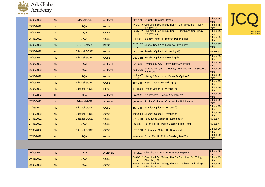

| 15/06/2022 | <b>AM</b> | <b>Edexcel GCE</b>  | A-LEVEL     |                | 9ET0 02 English Literature - Prose                                                 | 1 hour 15<br>mins |
|------------|-----------|---------------------|-------------|----------------|------------------------------------------------------------------------------------|-------------------|
| 15/06/2022 | <b>AM</b> | <b>AQA</b>          | <b>GCSE</b> |                | 8464/B/2 Combined Sci: Trilogy Tier F - Combined Sci Trilogy<br><b>Biology P2f</b> | 1 hour 15<br>mins |
| 15/06/2022 | <b>AM</b> | <b>AQA</b>          | <b>GCSE</b> | н              | 8464/B/2 Combined Sci: Trilogy Tier H - Combined Sci Trilogy<br><b>Biology P2h</b> | 1 hour 15<br>mins |
| 15/06/2022 | <b>AM</b> | <b>AQA</b>          | <b>GCSE</b> |                | 8461/2H Biology Triple H - Biology Paper 2 Tier H                                  | 1 hour 45<br>mins |
| 15/06/2022 | <b>PM</b> | <b>BTEC Entries</b> | <b>BTEC</b> | 31813H0        | Sports: Sport And Exercise Physiology                                              | 1 hour 30<br>mins |
| 15/06/2022 | <b>PM</b> | <b>Edexcel GCSE</b> | <b>GCSE</b> |                | 1RU0 1H Russian Option H - Listening (h)                                           | 45 mins           |
| 15/06/2022 | <b>PM</b> | <b>Edexcel GCSE</b> | <b>GCSE</b> |                | 1RU0 3H Russian Option H - Reading (h)                                             | 1 hour 05<br>mins |
| 16/06/2022 | <b>AM</b> | <b>AQA</b>          | A-LEVEL     | 7182/3         | Psychology Adv - Psychology Adv Paper 3                                            | 2 hour 00<br>mins |
| 16/06/2022 | <b>AM</b> | <b>AQA</b>          | A-LEVEL     | 7408/3/D       | Physics Adv (turning Points) - Physics Adv P3 Sections<br>A & B Opt D              | 2 hour 00<br>mins |
| 16/06/2022 | <b>AM</b> | <b>AQA</b>          | <b>GCSE</b> | 8145/2A/<br>C. | History C24 - History Paper 2a Option C                                            | 1 hour 00<br>mins |
| 16/06/2022 | <b>PM</b> | <b>Edexcel GCSE</b> | <b>GCSE</b> |                | $1FR0$ 4F French Option F - Writing (f)                                            | 1 hour 15<br>mins |
| 16/06/2022 | <b>PM</b> | <b>Edexcel GCSE</b> | <b>GCSE</b> |                | 1FR0 4H French Option H - Writing (h)                                              | 1 hour 20<br>mins |
| 17/06/2022 | <b>AM</b> | <b>AQA</b>          | A-LEVEL     |                | 7402/2 Biology Adv - Biology Adv Paper 2                                           | 2 hour 00<br>mins |
| 17/06/2022 | <b>AM</b> | <b>Edexcel GCE</b>  | A-LEVEL     |                | 9PL0 3A Politics Option A - Comparative Politics-usa                               | 2 hour 00<br>mins |
| 17/06/2022 | <b>AM</b> | <b>Edexcel GCSE</b> | <b>GCSE</b> |                | 1SP0 4F Spanish Option F - Writing (f)                                             | 1 hour 15<br>mins |
| 17/06/2022 | <b>AM</b> | <b>Edexcel GCSE</b> | <b>GCSE</b> |                | 1SP0 4H Spanish Option H - Writing (h)                                             | 1 hour 20<br>mins |
| 17/06/2022 | <b>PM</b> | <b>Edexcel GCSE</b> | <b>GCSE</b> |                | 1PG0 1H Portuguese Option H - Listening (h)                                        | 45 mins           |
| 17/06/2022 | <b>PM</b> | <b>AQA</b>          | <b>GCSE</b> |                | 8688/LH Polish Tier H - Polish Listening Test Tier H                               | 45 mins           |
| 17/06/2022 | <b>PM</b> | <b>Edexcel GCSE</b> | <b>GCSE</b> |                | 1PG0 3H Portuguese Option H - Reading (h)                                          |                   |
| 17/06/2022 | <b>PM</b> | <b>AQA</b>          | <b>GCSE</b> |                | 8688/RH Polish Tier H - Polish Reading Test Tier H                                 | 1 hour 00<br>mins |
|            |           |                     |             |                |                                                                                    | mins              |

| 20/06/2022 |           | AQA |              |   |                                                              | $ 2 \text{ hour } 00 $ |
|------------|-----------|-----|--------------|---|--------------------------------------------------------------|------------------------|
|            | <b>AM</b> |     | A-LEVEL      |   | 7405/2 Chemistry Adv - Chemistry Adv Paper 2                 | <b>Imins</b>           |
| 20/06/2022 |           | AQA | <b>IGCSE</b> |   | 8464/C/2 Combined Sci: Trilogy Tier F - Combined Sci Trilogy | 1 hour 15              |
|            | <b>AM</b> |     |              |   | <b>Chemistry P2f</b>                                         | <b>Imins</b>           |
| 20/06/2022 |           | AQA |              |   | 8464/C/2 Combined Sci: Trilogy Tier H - Combined Sci Trilogy | 1 hour 15              |
|            | <b>AM</b> |     | <b>IGCSE</b> | н | <b>Chemistry P2h</b>                                         | <i>Imins</i>           |